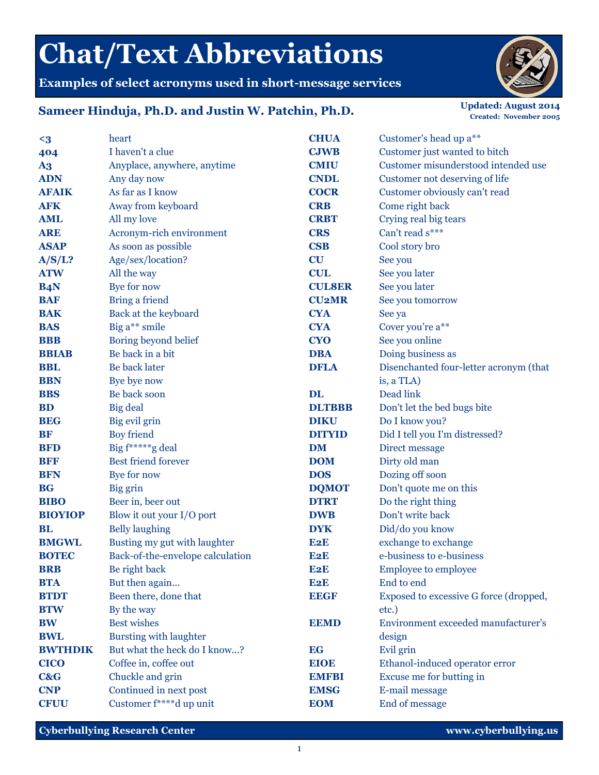## **Chat/Text Abbreviations**

**Examples of select acronyms used in short-message services**

## **Sameer Hinduja, Ph.D. and Justin W. Patchin, Ph.D.** *Updated: August 2014 Updated: August 2014*

**Created: November 2005**

| $\leq$ 3       | heart                            | <b>CHUA</b>      | Customer's head up a**                 |
|----------------|----------------------------------|------------------|----------------------------------------|
| 404            | I haven't a clue                 | <b>CJWB</b>      | Customer just wanted to bitch          |
| $\mathbf{A}$   | Anyplace, anywhere, anytime      | <b>CMIU</b>      | Customer misunderstood intended use    |
| <b>ADN</b>     | Any day now                      | <b>CNDL</b>      | Customer not deserving of life         |
| <b>AFAIK</b>   | As far as I know                 | <b>COCR</b>      | Customer obviously can't read          |
| <b>AFK</b>     | Away from keyboard               | <b>CRB</b>       | Come right back                        |
| <b>AML</b>     | All my love                      | <b>CRBT</b>      | Crying real big tears                  |
| <b>ARE</b>     | Acronym-rich environment         | <b>CRS</b>       | Can't read s***                        |
| <b>ASAP</b>    | As soon as possible              | <b>CSB</b>       | Cool story bro                         |
| A/S/L?         | Age/sex/location?                | CU               | See you                                |
| <b>ATW</b>     | All the way                      | <b>CUL</b>       | See you later                          |
| <b>B4N</b>     | Bye for now                      | <b>CULSER</b>    | See you later                          |
| <b>BAF</b>     | Bring a friend                   | <b>CU2MR</b>     | See you tomorrow                       |
| <b>BAK</b>     | Back at the keyboard             | <b>CYA</b>       | See ya                                 |
| <b>BAS</b>     | Big a** smile                    | <b>CYA</b>       | Cover you're a**                       |
| <b>BBB</b>     | Boring beyond belief             | <b>CYO</b>       | See you online                         |
| <b>BBIAB</b>   | Be back in a bit                 | <b>DBA</b>       | Doing business as                      |
| <b>BBL</b>     | Be back later                    | <b>DFLA</b>      | Disenchanted four-letter acronym (that |
| <b>BBN</b>     | Bye bye now                      |                  | is, a TLA)                             |
| <b>BBS</b>     | Be back soon                     | <b>DL</b>        | Dead link                              |
| <b>BD</b>      | Big deal                         | <b>DLTBBB</b>    | Don't let the bed bugs bite            |
| <b>BEG</b>     | Big evil grin                    | <b>DIKU</b>      | Do I know you?                         |
| <b>BF</b>      | Boy friend                       | <b>DITYID</b>    | Did I tell you I'm distressed?         |
| <b>BFD</b>     | Big f*****g deal                 | <b>DM</b>        | Direct message                         |
| <b>BFF</b>     | <b>Best friend forever</b>       | <b>DOM</b>       | Dirty old man                          |
| <b>BFN</b>     | Bye for now                      | <b>DOS</b>       | Dozing off soon                        |
| <b>BG</b>      | Big grin                         | <b>DQMOT</b>     | Don't quote me on this                 |
| <b>BIBO</b>    | Beer in, beer out                | <b>DTRT</b>      | Do the right thing                     |
| <b>BIOYIOP</b> | Blow it out your I/O port        | <b>DWB</b>       | Don't write back                       |
| BL             | <b>Belly laughing</b>            | <b>DYK</b>       | Did/do you know                        |
| <b>BMGWL</b>   | Busting my gut with laughter     | E2E              | exchange to exchange                   |
| <b>BOTEC</b>   | Back-of-the-envelope calculation | E2E              | e-business to e-business               |
| <b>BRB</b>     | Be right back                    | E <sub>2</sub> E | <b>Employee to employee</b>            |
| <b>BTA</b>     | But then again                   | E2E              | End to end                             |
| <b>BTDT</b>    | Been there, done that            | <b>EEGF</b>      | Exposed to excessive G force (dropped, |
| <b>BTW</b>     | By the way                       |                  | etc.)                                  |
| <b>BW</b>      | <b>Best wishes</b>               | <b>EEMD</b>      | Environment exceeded manufacturer's    |
| <b>BWL</b>     | <b>Bursting with laughter</b>    |                  | design                                 |
| <b>BWTHDIK</b> | But what the heck do I know?     | <b>EG</b>        | Evil grin                              |
| <b>CICO</b>    | Coffee in, coffee out            | <b>EIOE</b>      | Ethanol-induced operator error         |
| <b>C&amp;G</b> | Chuckle and grin                 | <b>EMFBI</b>     | Excuse me for butting in               |
| <b>CNP</b>     | Continued in next post           | <b>EMSG</b>      | E-mail message                         |
| <b>CFUU</b>    | Customer f****d up unit          | <b>EOM</b>       | End of message                         |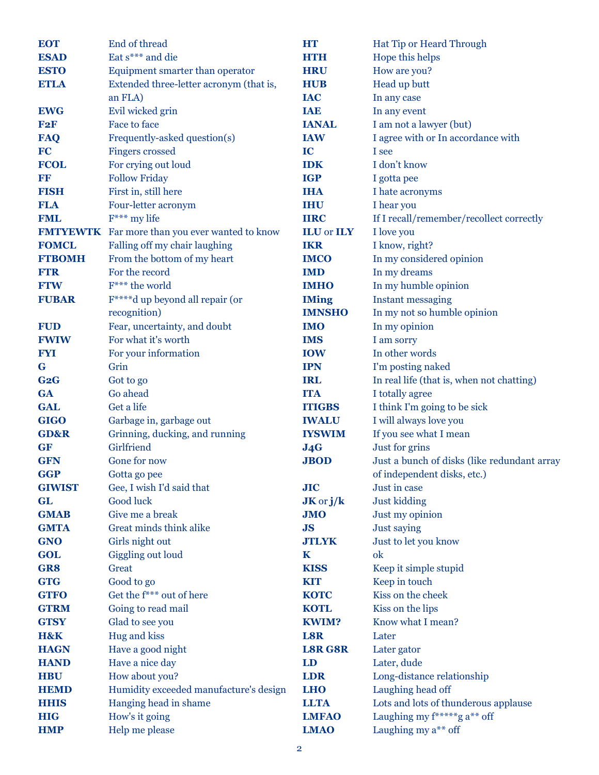| <b>EOT</b>      | End of thread                                  | <b>HT</b>                | Hat Tip or Heard Through                    |
|-----------------|------------------------------------------------|--------------------------|---------------------------------------------|
| <b>ESAD</b>     | Eat s*** and die                               | <b>HTH</b>               | Hope this helps                             |
| <b>ESTO</b>     | Equipment smarter than operator                | <b>HRU</b>               | How are you?                                |
| <b>ETLA</b>     | Extended three-letter acronym (that is,        | <b>HUB</b>               | Head up butt                                |
|                 | an FLA)                                        | <b>IAC</b>               | In any case                                 |
| <b>EWG</b>      | Evil wicked grin                               | <b>IAE</b>               | In any event                                |
| F2F             | Face to face                                   | <b>IANAL</b>             | I am not a lawyer (but)                     |
| <b>FAQ</b>      | Frequently-asked question(s)                   | <b>IAW</b>               | I agree with or In accordance with          |
| <b>FC</b>       | <b>Fingers</b> crossed                         | IC                       | I see                                       |
| <b>FCOL</b>     | For crying out loud                            | <b>IDK</b>               | I don't know                                |
| FF              | <b>Follow Friday</b>                           | <b>IGP</b>               | I gotta pee                                 |
| <b>FISH</b>     | First in, still here                           | <b>IHA</b>               | I hate acronyms                             |
| <b>FLA</b>      | Four-letter acronym                            | <b>IHU</b>               | I hear you                                  |
| <b>FML</b>      | $F***$ my life                                 | <b>IIRC</b>              | If I recall/remember/recollect correctly    |
|                 | FMTYEWTK Far more than you ever wanted to know | <b>ILU</b> or <b>ILY</b> | I love you                                  |
| <b>FOMCL</b>    | Falling off my chair laughing                  | <b>IKR</b>               | I know, right?                              |
| <b>FTBOMH</b>   | From the bottom of my heart                    | <b>IMCO</b>              | In my considered opinion                    |
| <b>FTR</b>      | For the record                                 | <b>IMD</b>               | In my dreams                                |
| <b>FTW</b>      | F*** the world                                 | <b>IMHO</b>              | In my humble opinion                        |
| <b>FUBAR</b>    | F <sup>****</sup> d up beyond all repair (or   | <b>IMing</b>             | <b>Instant messaging</b>                    |
|                 | recognition)                                   | <b>IMNSHO</b>            | In my not so humble opinion                 |
| <b>FUD</b>      | Fear, uncertainty, and doubt                   | <b>IMO</b>               | In my opinion                               |
| <b>FWIW</b>     | For what it's worth                            | <b>IMS</b>               | I am sorry                                  |
| <b>FYI</b>      | For your information                           | <b>IOW</b>               | In other words                              |
| G               | Grin                                           | <b>IPN</b>               | I'm posting naked                           |
| G2G             | Got to go                                      | <b>IRL</b>               | In real life (that is, when not chatting)   |
| <b>GA</b>       | Go ahead                                       | <b>ITA</b>               | I totally agree                             |
| <b>GAL</b>      | Get a life                                     | <b>ITIGBS</b>            | I think I'm going to be sick                |
| <b>GIGO</b>     | Garbage in, garbage out                        | <b>IWALU</b>             | I will always love you                      |
| <b>GD&amp;R</b> | Grinning, ducking, and running                 | <b>IYSWIM</b>            | If you see what I mean                      |
| <b>GF</b>       | Girlfriend                                     | J4G                      | Just for grins                              |
| <b>GFN</b>      | Gone for now                                   | <b>JBOD</b>              | Just a bunch of disks (like redundant array |
| <b>GGP</b>      | Gotta go pee                                   |                          | of independent disks, etc.)                 |
| <b>GIWIST</b>   | Gee, I wish I'd said that                      | JIC                      | Just in case                                |
| <b>GL</b>       | Good luck                                      | $JK$ or $j/k$            | <b>Just kidding</b>                         |
| <b>GMAB</b>     | Give me a break                                | <b>JMO</b>               | Just my opinion                             |
| <b>GMTA</b>     | Great minds think alike                        | JS                       | Just saying                                 |
| <b>GNO</b>      | Girls night out                                | <b>JTLYK</b>             | Just to let you know                        |
| <b>GOL</b>      | <b>Giggling out loud</b>                       | $\mathbf K$              | ok                                          |
| GR8             | Great                                          | <b>KISS</b>              | Keep it simple stupid                       |
| <b>GTG</b>      | Good to go                                     | <b>KIT</b>               | Keep in touch                               |
| <b>GTFO</b>     | Get the $f***$ out of here                     | <b>KOTC</b>              | Kiss on the cheek                           |
| <b>GTRM</b>     | Going to read mail                             | <b>KOTL</b>              | Kiss on the lips                            |
| <b>GTSY</b>     | Glad to see you                                | <b>KWIM?</b>             | Know what I mean?                           |
| H&K             | Hug and kiss                                   | L8R                      | Later                                       |
| <b>HAGN</b>     | Have a good night                              | <b>L8R G8R</b>           | Later gator                                 |
| <b>HAND</b>     | Have a nice day                                | LD                       | Later, dude                                 |
| <b>HBU</b>      | How about you?                                 | <b>LDR</b>               | Long-distance relationship                  |
| <b>HEMD</b>     | Humidity exceeded manufacture's design         | <b>LHO</b>               | Laughing head off                           |
| <b>HHIS</b>     | Hanging head in shame                          | <b>LLTA</b>              | Lots and lots of thunderous applause        |
| <b>HIG</b>      | How's it going                                 | <b>LMFAO</b>             | Laughing my f******g a** off                |
| <b>HMP</b>      | Help me please                                 | <b>LMAO</b>              | Laughing my a** off                         |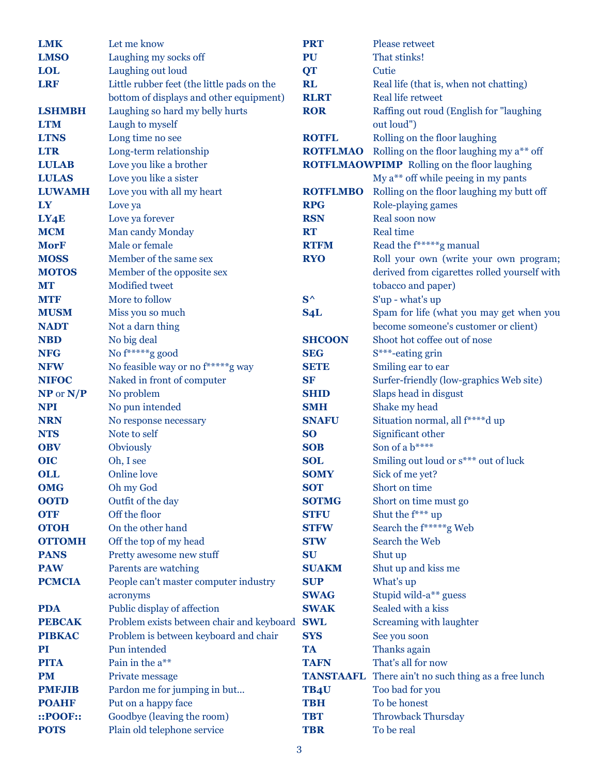| <b>LMK</b>    | Let me know                                | <b>PRT</b>       | Please retweet                                     |
|---------------|--------------------------------------------|------------------|----------------------------------------------------|
| <b>LMSO</b>   | Laughing my socks off                      | <b>PU</b>        | That stinks!                                       |
| <b>LOL</b>    | Laughing out loud                          | <b>QT</b>        | Cutie                                              |
| <b>LRF</b>    | Little rubber feet (the little pads on the | <b>RL</b>        | Real life (that is, when not chatting)             |
|               | bottom of displays and other equipment)    | <b>RLRT</b>      | <b>Real life retweet</b>                           |
| <b>LSHMBH</b> | Laughing so hard my belly hurts            | <b>ROR</b>       | Raffing out roud (English for "laughing            |
| <b>LTM</b>    | Laugh to myself                            |                  | out loud")                                         |
| <b>LTNS</b>   | Long time no see                           | <b>ROTFL</b>     | Rolling on the floor laughing                      |
| <b>LTR</b>    | Long-term relationship                     | <b>ROTFLMAO</b>  | Rolling on the floor laughing my a** off           |
| <b>LULAB</b>  | Love you like a brother                    |                  | <b>ROTFLMAOWPIMP</b> Rolling on the floor laughing |
| <b>LULAS</b>  | Love you like a sister                     |                  | My a** off while peeing in my pants                |
| <b>LUWAMH</b> | Love you with all my heart                 | <b>ROTFLMBO</b>  | Rolling on the floor laughing my butt off          |
| LY            | Love ya                                    | <b>RPG</b>       | Role-playing games                                 |
| LY4E          | Love ya forever                            | <b>RSN</b>       | Real soon now                                      |
| <b>MCM</b>    | Man candy Monday                           | <b>RT</b>        | <b>Real time</b>                                   |
| <b>MorF</b>   | Male or female                             | <b>RTFM</b>      | Read the f******g manual                           |
| <b>MOSS</b>   | Member of the same sex                     | <b>RYO</b>       | Roll your own (write your own program;             |
| <b>MOTOS</b>  | Member of the opposite sex                 |                  | derived from cigarettes rolled yourself with       |
| <b>MT</b>     | <b>Modified tweet</b>                      |                  | tobacco and paper)                                 |
| <b>MTF</b>    | More to follow                             | $S^{\wedge}$     | S'up - what's up                                   |
| <b>MUSM</b>   | Miss you so much                           | S <sub>4</sub> L | Spam for life (what you may get when you           |
| <b>NADT</b>   | Not a darn thing                           |                  | become someone's customer or client)               |
| <b>NBD</b>    | No big deal                                | <b>SHCOON</b>    | Shoot hot coffee out of nose                       |
| <b>NFG</b>    | No f******g good                           | <b>SEG</b>       | S***-eating grin                                   |
| <b>NFW</b>    | No feasible way or no f*****g way          | <b>SETE</b>      | Smiling ear to ear                                 |
| <b>NIFOC</b>  | Naked in front of computer                 | <b>SF</b>        | Surfer-friendly (low-graphics Web site)            |
| $NP$ or $N/P$ | No problem                                 | <b>SHID</b>      | Slaps head in disgust                              |
| <b>NPI</b>    | No pun intended                            | <b>SMH</b>       | Shake my head                                      |
| <b>NRN</b>    | No response necessary                      | <b>SNAFU</b>     | Situation normal, all f****d up                    |
| <b>NTS</b>    | Note to self                               | <b>SO</b>        | Significant other                                  |
| <b>OBV</b>    | Obviously                                  | <b>SOB</b>       | Son of a b****                                     |
| <b>OIC</b>    | Oh, I see                                  | <b>SOL</b>       | Smiling out loud or s*** out of luck               |
| OLL           | <b>Online</b> love                         | <b>SOMY</b>      | Sick of me yet?                                    |
| <b>OMG</b>    | Oh my God                                  | <b>SOT</b>       | Short on time                                      |
| <b>OOTD</b>   | Outfit of the day                          | <b>SOTMG</b>     | Short on time must go                              |
| <b>OTF</b>    | Off the floor                              | <b>STFU</b>      | Shut the $f^{***}$ up                              |
| <b>OTOH</b>   | On the other hand                          | <b>STFW</b>      | Search the f*****g Web                             |
| <b>OTTOMH</b> | Off the top of my head                     | <b>STW</b>       | Search the Web                                     |
| <b>PANS</b>   | Pretty awesome new stuff                   | <b>SU</b>        | Shut up                                            |
| <b>PAW</b>    | Parents are watching                       | <b>SUAKM</b>     | Shut up and kiss me                                |
| <b>PCMCIA</b> | People can't master computer industry      | <b>SUP</b>       | What's up                                          |
|               | acronyms                                   | <b>SWAG</b>      | Stupid wild-a** guess                              |
| <b>PDA</b>    | Public display of affection                | <b>SWAK</b>      | Sealed with a kiss                                 |
| <b>PEBCAK</b> | Problem exists between chair and keyboard  | <b>SWL</b>       | <b>Screaming with laughter</b>                     |
| <b>PIBKAC</b> | Problem is between keyboard and chair      | <b>SYS</b>       | See you soon                                       |
| <b>PI</b>     | Pun intended                               | <b>TA</b>        | Thanks again                                       |
| <b>PITA</b>   | Pain in the a**                            | <b>TAFN</b>      | That's all for now                                 |
| <b>PM</b>     | Private message                            | <b>TANSTAAFL</b> | There ain't no such thing as a free lunch          |
| <b>PMFJIB</b> | Pardon me for jumping in but               | TB4U             | Too bad for you                                    |
| <b>POAHF</b>  | Put on a happy face                        | <b>TBH</b>       | To be honest                                       |
| ::POOF::      | Goodbye (leaving the room)                 | <b>TBT</b>       | <b>Throwback Thursday</b>                          |
| <b>POTS</b>   | Plain old telephone service                | <b>TBR</b>       | To be real                                         |